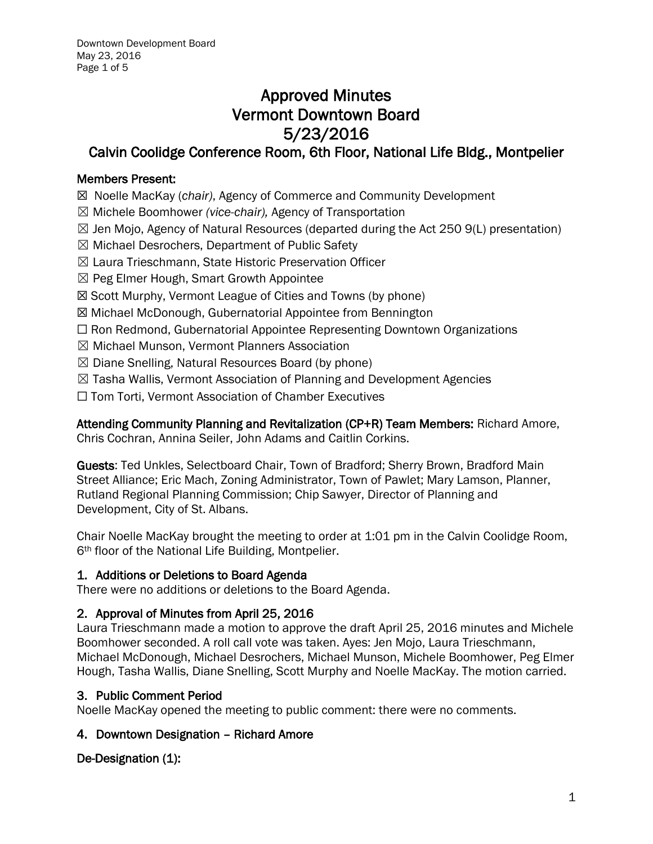# Approved Minutes Vermont Downtown Board 5/23/2016

## Calvin Coolidge Conference Room, 6th Floor, National Life Bldg., Montpelier

## Members Present:

☒ Noelle MacKay (*chair)*, Agency of Commerce and Community Development

- ☒ Michele Boomhower *(vice-chair),* Agency of Transportation
- $\boxtimes$  Jen Mojo, Agency of Natural Resources (departed during the Act 250 9(L) presentation)
- ☒ Michael Desrochers, Department of Public Safety
- ☒ Laura Trieschmann, State Historic Preservation Officer
- $\boxtimes$  Peg Elmer Hough, Smart Growth Appointee
- ☒ Scott Murphy, Vermont League of Cities and Towns (by phone)
- ☒ Michael McDonough, Gubernatorial Appointee from Bennington
- ☐ Ron Redmond, Gubernatorial Appointee Representing Downtown Organizations
- ☒ Michael Munson, Vermont Planners Association
- $\boxtimes$  Diane Snelling, Natural Resources Board (by phone)
- $\boxtimes$  Tasha Wallis, Vermont Association of Planning and Development Agencies
- ☐ Tom Torti, Vermont Association of Chamber Executives

Attending Community Planning and Revitalization (CP+R) Team Members: Richard Amore, Chris Cochran, Annina Seiler, John Adams and Caitlin Corkins.

Guests: Ted Unkles, Selectboard Chair, Town of Bradford; Sherry Brown, Bradford Main Street Alliance; Eric Mach, Zoning Administrator, Town of Pawlet; Mary Lamson, Planner, Rutland Regional Planning Commission; Chip Sawyer, Director of Planning and Development, City of St. Albans.

Chair Noelle MacKay brought the meeting to order at 1:01 pm in the Calvin Coolidge Room, 6th floor of the National Life Building, Montpelier.

## 1. Additions or Deletions to Board Agenda

There were no additions or deletions to the Board Agenda.

## 2. Approval of Minutes from April 25, 2016

Laura Trieschmann made a motion to approve the draft April 25, 2016 minutes and Michele Boomhower seconded. A roll call vote was taken. Ayes: Jen Mojo, Laura Trieschmann, Michael McDonough, Michael Desrochers, Michael Munson, Michele Boomhower, Peg Elmer Hough, Tasha Wallis, Diane Snelling, Scott Murphy and Noelle MacKay. The motion carried.

## 3. Public Comment Period

Noelle MacKay opened the meeting to public comment: there were no comments.

## 4. Downtown Designation – Richard Amore

## De-Designation (1):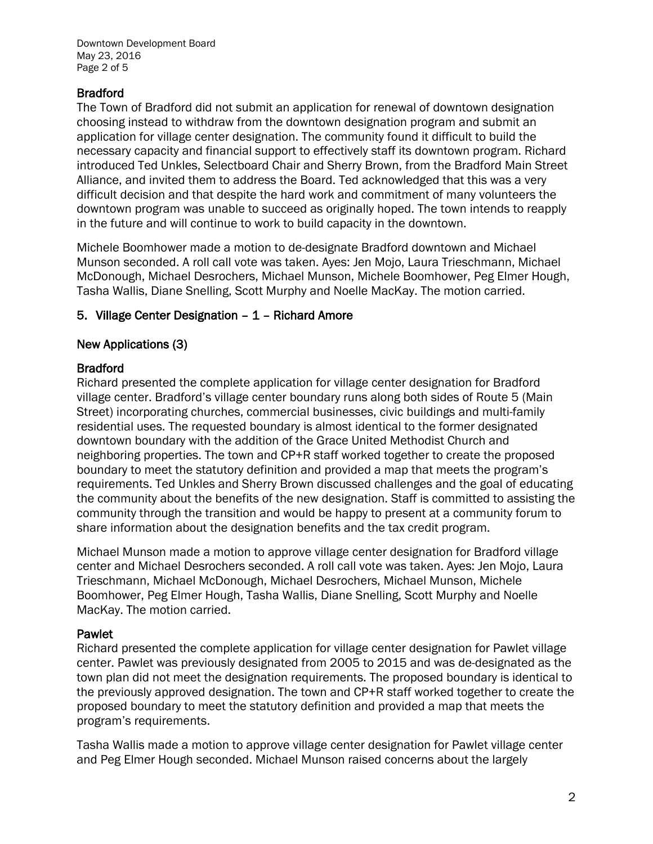Downtown Development Board May 23, 2016 Page 2 of 5

## Bradford

The Town of Bradford did not submit an application for renewal of downtown designation choosing instead to withdraw from the downtown designation program and submit an application for village center designation. The community found it difficult to build the necessary capacity and financial support to effectively staff its downtown program. Richard introduced Ted Unkles, Selectboard Chair and Sherry Brown, from the Bradford Main Street Alliance, and invited them to address the Board. Ted acknowledged that this was a very difficult decision and that despite the hard work and commitment of many volunteers the downtown program was unable to succeed as originally hoped. The town intends to reapply in the future and will continue to work to build capacity in the downtown.

Michele Boomhower made a motion to de-designate Bradford downtown and Michael Munson seconded. A roll call vote was taken. Ayes: Jen Mojo, Laura Trieschmann, Michael McDonough, Michael Desrochers, Michael Munson, Michele Boomhower, Peg Elmer Hough, Tasha Wallis, Diane Snelling, Scott Murphy and Noelle MacKay. The motion carried.

## 5. Village Center Designation – 1 – Richard Amore

## New Applications (3)

## Bradford

Richard presented the complete application for village center designation for Bradford village center. Bradford's village center boundary runs along both sides of Route 5 (Main Street) incorporating churches, commercial businesses, civic buildings and multi-family residential uses. The requested boundary is almost identical to the former designated downtown boundary with the addition of the Grace United Methodist Church and neighboring properties. The town and CP+R staff worked together to create the proposed boundary to meet the statutory definition and provided a map that meets the program's requirements. Ted Unkles and Sherry Brown discussed challenges and the goal of educating the community about the benefits of the new designation. Staff is committed to assisting the community through the transition and would be happy to present at a community forum to share information about the designation benefits and the tax credit program.

Michael Munson made a motion to approve village center designation for Bradford village center and Michael Desrochers seconded. A roll call vote was taken. Ayes: Jen Mojo, Laura Trieschmann, Michael McDonough, Michael Desrochers, Michael Munson, Michele Boomhower, Peg Elmer Hough, Tasha Wallis, Diane Snelling, Scott Murphy and Noelle MacKay. The motion carried.

#### Pawlet

Richard presented the complete application for village center designation for Pawlet village center. Pawlet was previously designated from 2005 to 2015 and was de-designated as the town plan did not meet the designation requirements. The proposed boundary is identical to the previously approved designation. The town and CP+R staff worked together to create the proposed boundary to meet the statutory definition and provided a map that meets the program's requirements.

Tasha Wallis made a motion to approve village center designation for Pawlet village center and Peg Elmer Hough seconded. Michael Munson raised concerns about the largely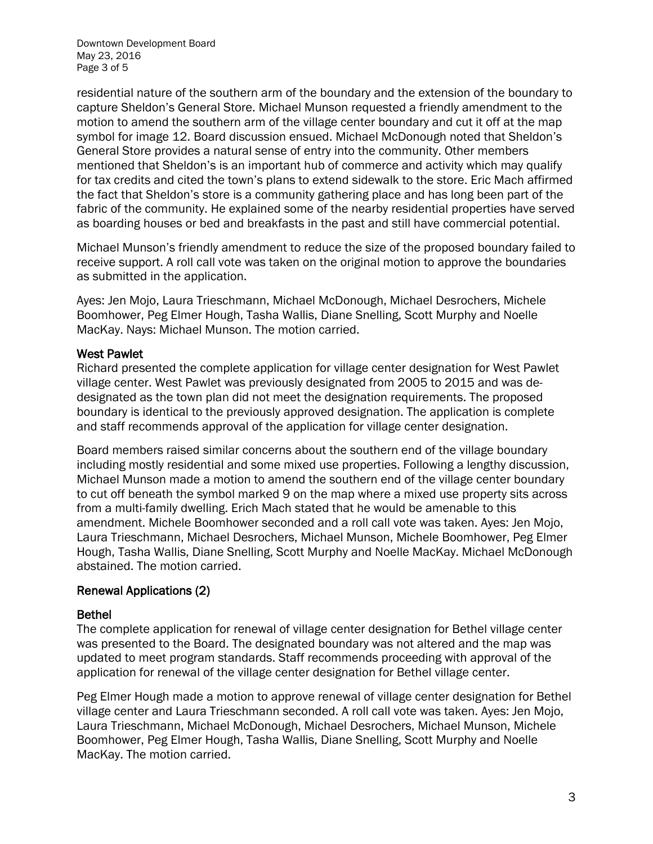Downtown Development Board May 23, 2016 Page 3 of 5

residential nature of the southern arm of the boundary and the extension of the boundary to capture Sheldon's General Store. Michael Munson requested a friendly amendment to the motion to amend the southern arm of the village center boundary and cut it off at the map symbol for image 12. Board discussion ensued. Michael McDonough noted that Sheldon's General Store provides a natural sense of entry into the community. Other members mentioned that Sheldon's is an important hub of commerce and activity which may qualify for tax credits and cited the town's plans to extend sidewalk to the store. Eric Mach affirmed the fact that Sheldon's store is a community gathering place and has long been part of the fabric of the community. He explained some of the nearby residential properties have served as boarding houses or bed and breakfasts in the past and still have commercial potential.

Michael Munson's friendly amendment to reduce the size of the proposed boundary failed to receive support. A roll call vote was taken on the original motion to approve the boundaries as submitted in the application.

Ayes: Jen Mojo, Laura Trieschmann, Michael McDonough, Michael Desrochers, Michele Boomhower, Peg Elmer Hough, Tasha Wallis, Diane Snelling, Scott Murphy and Noelle MacKay. Nays: Michael Munson. The motion carried.

#### West Pawlet

Richard presented the complete application for village center designation for West Pawlet village center. West Pawlet was previously designated from 2005 to 2015 and was dedesignated as the town plan did not meet the designation requirements. The proposed boundary is identical to the previously approved designation. The application is complete and staff recommends approval of the application for village center designation.

Board members raised similar concerns about the southern end of the village boundary including mostly residential and some mixed use properties. Following a lengthy discussion, Michael Munson made a motion to amend the southern end of the village center boundary to cut off beneath the symbol marked 9 on the map where a mixed use property sits across from a multi-family dwelling. Erich Mach stated that he would be amenable to this amendment. Michele Boomhower seconded and a roll call vote was taken. Ayes: Jen Mojo, Laura Trieschmann, Michael Desrochers, Michael Munson, Michele Boomhower, Peg Elmer Hough, Tasha Wallis, Diane Snelling, Scott Murphy and Noelle MacKay. Michael McDonough abstained. The motion carried.

#### Renewal Applications (2)

#### Bethel

The complete application for renewal of village center designation for Bethel village center was presented to the Board. The designated boundary was not altered and the map was updated to meet program standards. Staff recommends proceeding with approval of the application for renewal of the village center designation for Bethel village center.

Peg Elmer Hough made a motion to approve renewal of village center designation for Bethel village center and Laura Trieschmann seconded. A roll call vote was taken. Ayes: Jen Mojo, Laura Trieschmann, Michael McDonough, Michael Desrochers, Michael Munson, Michele Boomhower, Peg Elmer Hough, Tasha Wallis, Diane Snelling, Scott Murphy and Noelle MacKay. The motion carried.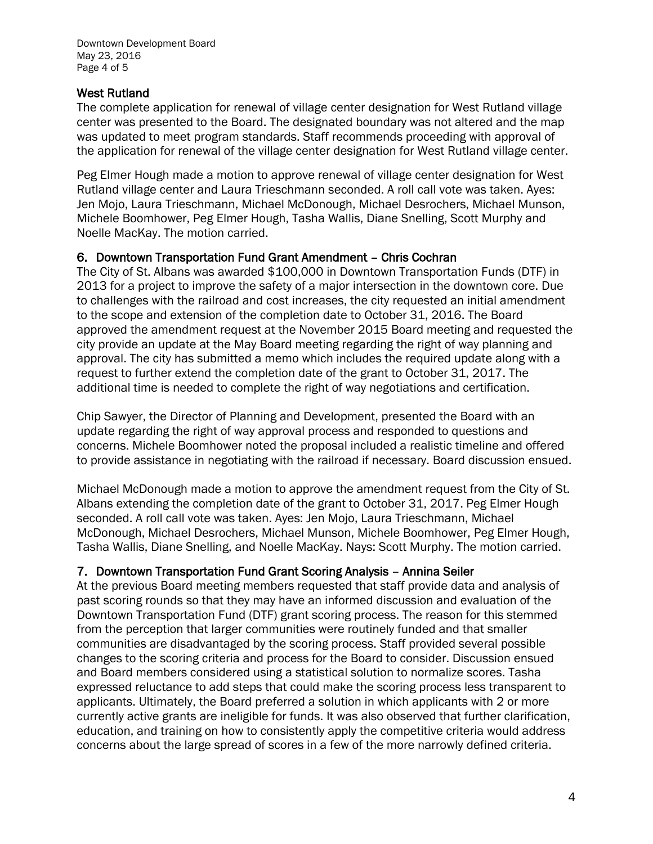Downtown Development Board May 23, 2016 Page 4 of 5

#### West Rutland

The complete application for renewal of village center designation for West Rutland village center was presented to the Board. The designated boundary was not altered and the map was updated to meet program standards. Staff recommends proceeding with approval of the application for renewal of the village center designation for West Rutland village center.

Peg Elmer Hough made a motion to approve renewal of village center designation for West Rutland village center and Laura Trieschmann seconded. A roll call vote was taken. Ayes: Jen Mojo, Laura Trieschmann, Michael McDonough, Michael Desrochers, Michael Munson, Michele Boomhower, Peg Elmer Hough, Tasha Wallis, Diane Snelling, Scott Murphy and Noelle MacKay. The motion carried.

#### 6. Downtown Transportation Fund Grant Amendment – Chris Cochran

The City of St. Albans was awarded \$100,000 in Downtown Transportation Funds (DTF) in 2013 for a project to improve the safety of a major intersection in the downtown core. Due to challenges with the railroad and cost increases, the city requested an initial amendment to the scope and extension of the completion date to October 31, 2016. The Board approved the amendment request at the November 2015 Board meeting and requested the city provide an update at the May Board meeting regarding the right of way planning and approval. The city has submitted a memo which includes the required update along with a request to further extend the completion date of the grant to October 31, 2017. The additional time is needed to complete the right of way negotiations and certification.

Chip Sawyer, the Director of Planning and Development, presented the Board with an update regarding the right of way approval process and responded to questions and concerns. Michele Boomhower noted the proposal included a realistic timeline and offered to provide assistance in negotiating with the railroad if necessary. Board discussion ensued.

Michael McDonough made a motion to approve the amendment request from the City of St. Albans extending the completion date of the grant to October 31, 2017. Peg Elmer Hough seconded. A roll call vote was taken. Ayes: Jen Mojo, Laura Trieschmann, Michael McDonough, Michael Desrochers, Michael Munson, Michele Boomhower, Peg Elmer Hough, Tasha Wallis, Diane Snelling, and Noelle MacKay. Nays: Scott Murphy. The motion carried.

## 7. Downtown Transportation Fund Grant Scoring Analysis – Annina Seiler

At the previous Board meeting members requested that staff provide data and analysis of past scoring rounds so that they may have an informed discussion and evaluation of the Downtown Transportation Fund (DTF) grant scoring process. The reason for this stemmed from the perception that larger communities were routinely funded and that smaller communities are disadvantaged by the scoring process. Staff provided several possible changes to the scoring criteria and process for the Board to consider. Discussion ensued and Board members considered using a statistical solution to normalize scores. Tasha expressed reluctance to add steps that could make the scoring process less transparent to applicants. Ultimately, the Board preferred a solution in which applicants with 2 or more currently active grants are ineligible for funds. It was also observed that further clarification, education, and training on how to consistently apply the competitive criteria would address concerns about the large spread of scores in a few of the more narrowly defined criteria.